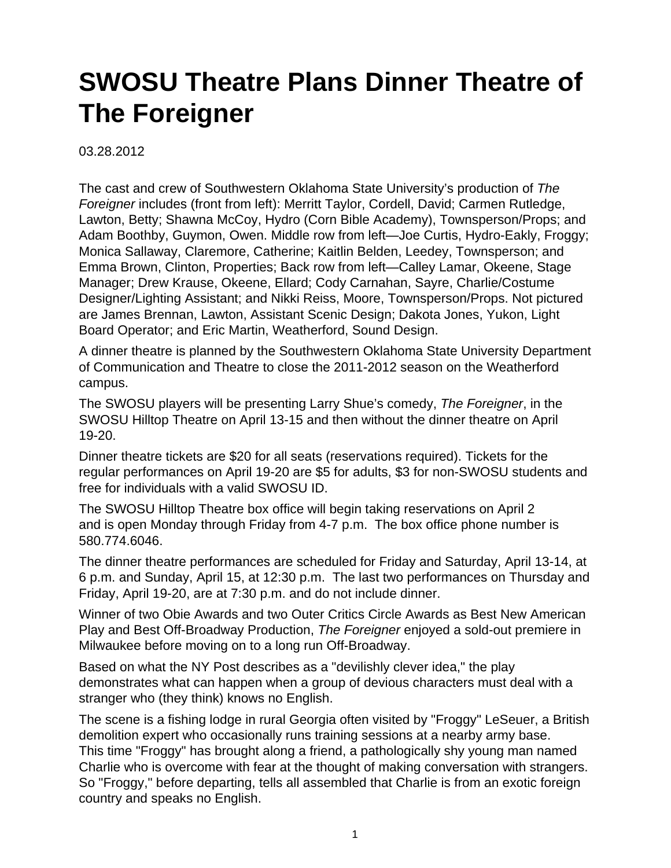## **SWOSU Theatre Plans Dinner Theatre of The Foreigner**

03.28.2012

The cast and crew of Southwestern Oklahoma State University's production of The Foreigner includes (front from left): Merritt Taylor, Cordell, David; Carmen Rutledge, Lawton, Betty; Shawna McCoy, Hydro (Corn Bible Academy), Townsperson/Props; and Adam Boothby, Guymon, Owen. Middle row from left—Joe Curtis, Hydro-Eakly, Froggy; Monica Sallaway, Claremore, Catherine; Kaitlin Belden, Leedey, Townsperson; and Emma Brown, Clinton, Properties; Back row from left—Calley Lamar, Okeene, Stage Manager; Drew Krause, Okeene, Ellard; Cody Carnahan, Sayre, Charlie/Costume Designer/Lighting Assistant; and Nikki Reiss, Moore, Townsperson/Props. Not pictured are James Brennan, Lawton, Assistant Scenic Design; Dakota Jones, Yukon, Light Board Operator; and Eric Martin, Weatherford, Sound Design.

A dinner theatre is planned by the Southwestern Oklahoma State University Department of Communication and Theatre to close the 2011-2012 season on the Weatherford campus.

The SWOSU players will be presenting Larry Shue's comedy, The Foreigner, in the SWOSU Hilltop Theatre on April 13-15 and then without the dinner theatre on April 19-20.

Dinner theatre tickets are \$20 for all seats (reservations required). Tickets for the regular performances on April 19-20 are \$5 for adults, \$3 for non-SWOSU students and free for individuals with a valid SWOSU ID.

The SWOSU Hilltop Theatre box office will begin taking reservations on April 2 and is open Monday through Friday from 4-7 p.m. The box office phone number is 580.774.6046.

The dinner theatre performances are scheduled for Friday and Saturday, April 13-14, at 6 p.m. and Sunday, April 15, at 12:30 p.m. The last two performances on Thursday and Friday, April 19-20, are at 7:30 p.m. and do not include dinner.

Winner of two Obie Awards and two Outer Critics Circle Awards as Best New American Play and Best Off-Broadway Production, The Foreigner enjoyed a sold-out premiere in Milwaukee before moving on to a long run Off-Broadway.

Based on what the NY Post describes as a "devilishly clever idea," the play demonstrates what can happen when a group of devious characters must deal with a stranger who (they think) knows no English.

The scene is a fishing lodge in rural Georgia often visited by "Froggy" LeSeuer, a British demolition expert who occasionally runs training sessions at a nearby army base. This time "Froggy" has brought along a friend, a pathologically shy young man named Charlie who is overcome with fear at the thought of making conversation with strangers. So "Froggy," before departing, tells all assembled that Charlie is from an exotic foreign country and speaks no English.